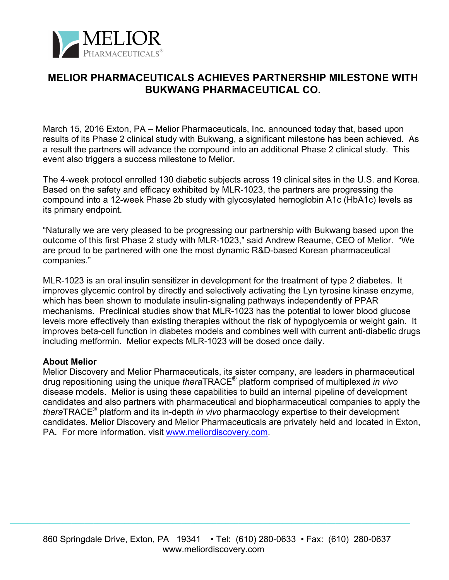

## **MELIOR PHARMACEUTICALS ACHIEVES PARTNERSHIP MILESTONE WITH BUKWANG PHARMACEUTICAL CO.**

March 15, 2016 Exton, PA – Melior Pharmaceuticals, Inc. announced today that, based upon results of its Phase 2 clinical study with Bukwang, a significant milestone has been achieved. As a result the partners will advance the compound into an additional Phase 2 clinical study. This event also triggers a success milestone to Melior.

The 4-week protocol enrolled 130 diabetic subjects across 19 clinical sites in the U.S. and Korea. Based on the safety and efficacy exhibited by MLR-1023, the partners are progressing the compound into a 12-week Phase 2b study with glycosylated hemoglobin A1c (HbA1c) levels as its primary endpoint.

"Naturally we are very pleased to be progressing our partnership with Bukwang based upon the outcome of this first Phase 2 study with MLR-1023," said Andrew Reaume, CEO of Melior. "We are proud to be partnered with one the most dynamic R&D-based Korean pharmaceutical companies."

MLR-1023 is an oral insulin sensitizer in development for the treatment of type 2 diabetes. It improves glycemic control by directly and selectively activating the Lyn tyrosine kinase enzyme, which has been shown to modulate insulin-signaling pathways independently of PPAR mechanisms. Preclinical studies show that MLR-1023 has the potential to lower blood glucose levels more effectively than existing therapies without the risk of hypoglycemia or weight gain. It improves beta-cell function in diabetes models and combines well with current anti-diabetic drugs including metformin. Melior expects MLR-1023 will be dosed once daily.

## **About Melior**

Melior Discovery and Melior Pharmaceuticals, its sister company, are leaders in pharmaceutical drug repositioning using the unique *thera*TRACE® platform comprised of multiplexed *in vivo* disease models. Melior is using these capabilities to build an internal pipeline of development candidates and also partners with pharmaceutical and biopharmaceutical companies to apply the *thera*TRACE® platform and its in-depth *in vivo* pharmacology expertise to their development candidates. Melior Discovery and Melior Pharmaceuticals are privately held and located in Exton, PA. For more information, visit www.meliordiscovery.com.

 $\mathcal{L}_\mathcal{L} = \mathcal{L}_\mathcal{L} = \mathcal{L}_\mathcal{L} = \mathcal{L}_\mathcal{L} = \mathcal{L}_\mathcal{L} = \mathcal{L}_\mathcal{L} = \mathcal{L}_\mathcal{L} = \mathcal{L}_\mathcal{L} = \mathcal{L}_\mathcal{L} = \mathcal{L}_\mathcal{L} = \mathcal{L}_\mathcal{L} = \mathcal{L}_\mathcal{L} = \mathcal{L}_\mathcal{L} = \mathcal{L}_\mathcal{L} = \mathcal{L}_\mathcal{L} = \mathcal{L}_\mathcal{L} = \mathcal{L}_\mathcal{L}$